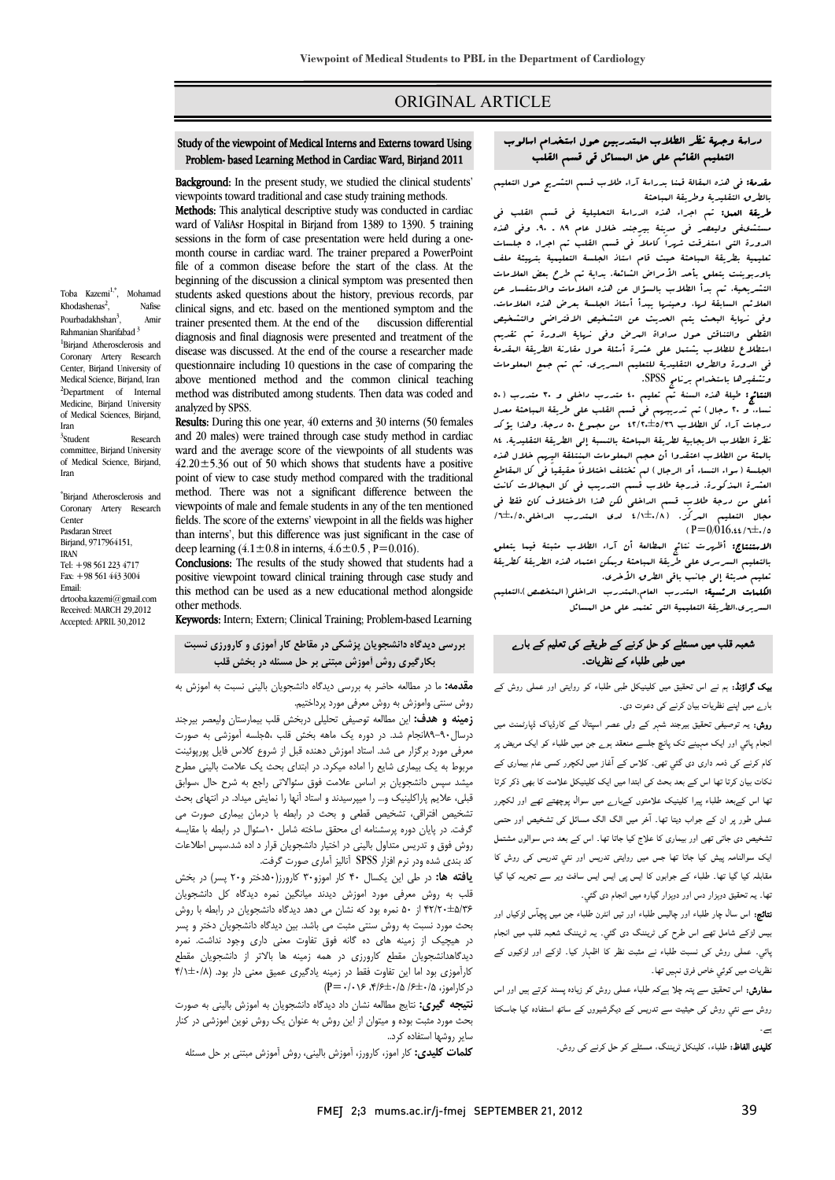## ORIGINAL ARTICLE

# دراسة وجهة نظر الطلاب المتدربين حول استخدام اسالوب ر بيرد صدر العائرية المستريين للون التعليم الما<br>التعليم القائم على حل المسائل قي قسم القلب

Ī  $\overline{a}$ 

# مقدمة: في هذه المقالة قمنا بدراسة آراء طلاب قسم التشريح حول التعليم **بعدمه.** <sub>مى</sub> عدد البعدة لتنا بدراته<br>بالطرق التقليدية وطريقة البباحثة

 طريقة العمل: تم اجراء هذه الدراسة التحليلية في قسم القلب في مستشىفى وليعصر في مدينة بيرجند خلال عام 89 ـ .90 وفي هذه تعددت التى استرتب ا*لبرد. تاحلا فى عليم الثنيت تم البرد. • جنستات*<br>تعليمية بطريقة التباحثة حيث قام استاذ الجلسة التعليمية بت*هيئة مل*ف باوربوينت يتعلق بأحد الأمراض الشائعة. بداية تم طرح بعض العلامات التشريحية، ثم بدأ الطلاب بالسؤال عن هذه العلامات والاستفسار عن وفي نهايت من التجارية المحدد المستقدم المستقدم المستقدم التحديث.<br>وفي نهاية البحث يتم العديث عن التشخيص الافتراضي والتشخيص القطعي والتناقش حول مداواة المرض وفي نهاية الدورة تم تقديم استطلاع للطلاب يشتمل على عشرة أسئلة حول مقارنة الطريقة المقدمة می اندوزه واستوسیه مستقدم<br>وتشفیرها باستخدام برنامج SPSS. الدورة التي استغرقت شهراً كاملاً في قسم القلب تم اجراء 5 جلسات العلائم السابقة لها، وحينها يبدأ أستاذ الجلسة بعرض هذه العلامات. في الدورة والطرق التقليدية للتعليم السريري. ثم تم جمع المعلومات

 النتائج: طيلة هذه السنة تم تعليم 40 متدرب داخلي و 30 متدرب (50 نساء، و 20 رجال) تم تدريبهم في قسم القلب على طريقة المباحثة معدل نظرة الطلاب الايجابية لطريقة المباحثة بالنسبة إلى الطريقة التقليدية. 84 بالمئة من الطلاب اعتقدوا أن حجم المعلومات المنتلقة اليهم خلال هذه الجلسة (سواء النساء أو الرجال) لم تختلف اختلافاً حقيقياً في كل البقاطع<br>مدة مقدمات كليفاً من المقابل المقابل أعلى من درجة طلاب قسم الداخلي لكن هذا الاختلاف كان فقط في مجال التعليم المركّز. (4/1±0/8 لدي المتدرب الداخلي/6±0/5، درجات آراء كل الطلاب 42/20±5/36 من مجموع 50 درجة. وهذا يؤكد العشرة المذكورة. فدرجة طلاب قسم التدريب في كل المجالات كانت  $(P=0/016.44/\pi\pm0.75)$ 

،/··············<br>ا**لاستنتاج:** أظ*هرت* نتائج المطالعة أن آراء الطلاب مثبتة فيما يتعلق بالتعليم السرسري على طريقة المباحثة ويمكن اعتماد هذه الطريقة كطريقة تعليم حديثة إلى جانب باقي الطرق الأخرى.

יי<br>. السريري،الطريقة التعليمية التي تعتمد على حل المسائل الكلمات الرئسية: المتدرب العام,المتدرب الداخلي(المتخصص)،التعليم

## شعبہ قلب میں مسئلے کو حل کرنے کے طریقے کی تعلیم کے بارے میں طبی طلباء کے نظریات۔

۔<br>**بیک گراؤنڈ:** ہم نے اس تحقیق میں کلینیکل طبی طلباء کو روایتی اور عملی روش کے بارے میں اپنے نظریات بیان کرنے کی دعوت دی۔

 روش: یہ توصیفی تحقیق بیرجند شہر کے ولی عصر اسپتال کے کارڈیاک ڈپارٹمنٹ میں انجام پائي اور ایک مہینے تک پانچ جلسے منعقد ہوے جن میں طلباء کو ایک مریض پر کام کرنے کی ذمہ داری دی گئي تھی۔ کلاس کے آغاز میں لکچرر کسی عام بیماری کے نکات بیان کرتا تھا اس کے بعد بحث کی ابتدا میں ایک کلینیکل علامت کا بھی ذکر کرتا تھا اس کےبعد طلباء پیرا کلینیک علامتوں کےبارے میں سوال پوچھتے تھے اور لکچرر عملی طور پر ان کے جواب دیتا تھا۔ آخر میں الگ الگ مسائل کی تشخیص اور حتمی تشخیص دی جاتی تھی اور بیماری کا علاج کیا جاتا تھا۔ اس کے بعد دس سوالوں مشتمل ایک سوالنامہ پیش کیا جاتا تھا جس میں روایتی تدریس اور نئي تدریس کی روش کا مقابلہ کیا گیا تھا۔ طلباء کے جوابوں کا ایس پی ایس ایس سافٹ ویر سے تجریہ کیا گیا<br>۔ تھا۔ یہ تحقیق دوہزار دس اور دوہزار گيارہ میں انجام دی گئي۔

 بیس لڑکے شامل تھے اس طرح کی ٹریننگ دی گئي۔ یہ ٹریننگ شعبہ قلب میں انجام پائي۔ عملی روش کی نسبت طلباء نے مثبت نظر کا اظہار کیا۔ لڑکے اور لڑکیوں کے ۔<br><u>ظر</u>یات میں کوئي خاص فرق نہیں تھا۔ نتائج: اس سال چار طلباء اور چالیس طلباء اور تیں انٹرن طلباء جن میں پچآس لڑکیاں اور

 سفارش: اس تحقیق سے پتہ چلا ہےکہ طلباء عملی روش کو زیادہ پسند کرتے ہیں اور اس روش سے نئي روش کی حیثیت سے تدریس کے دیگرشیووں کے ساتھ استفادہ کیا جاسکتا ہے۔

کلیدی الفاظ: طلباء، کلینکل ٹریننگ، مسئلے کو حل کرنے کی روش۔

#### Study of the viewpoint of Medical Interns and Externs toward Using Problem- based Learning Method in Cardiac Ward, Birjand 2011

Ī  $\overline{a}$ 

 Background: In the present study, we studied the clinical students' **Dataground**. In the present study, we studied the einhear studies

Methods: This analytical descriptive study was conducted in cardiac wate of valust riospital in birjand from 1509 to 1590. I training<br>sessions in the form of case presentation were held during a one- month course in cardiac ward. The trainer prepared a PowerPoint file of a common disease before the start of the class. At the students asked questions about the history, previous records, par clinical signs, and etc. based on the mentioned symptom and the diagnosis and final diagnosis were presented and treatment of the disease was discussed. At the end of the course a researcher made above mentioned method and the common clinical teaching method was distributed among students. Then data was coded and ward of ValiAsr Hospital in Birjand from 1389 to 1390. 5 training beginning of the discussion a clinical symptom was presented then trainer presented them. At the end of the discussion differential questionnaire including 10 questions in the case of comparing the analyzed by SPSS.

anaryzed by srss.<br>**Results**: During this one year, 40 externs and 30 interns (50 females and 20 males) were trained through case study method in cardiac ward and the average score of the viewpoints of all students was<br> $(2.20 \pm 5.26)$  and of 50 which above that students have a positive point of view to case study method compared with the traditional method. There was not a significant difference between the fields. The score of the externs' viewpoint in all the fields was higher than interns', but this difference was just significant in the case of  $42.20 \pm 5.36$  out of 50 which shows that students have a positive viewpoints of male and female students in any of the ten mentioned deep learning  $(4.1 \pm 0.8 \text{ in in terms}, 4.6 \pm 0.5 \text{ , } P = 0.016)$ .

Conclusions: The results of the study showed that students had a positive viewpoint toward clinical training through case study and this method can be used as a new educational method alongside<br>other methods other methods.

Keywords: Intern; Extern; Clinical Training; Problem-based Learning

# **بررسي ديدگاه دانشجويان پزشكي در مقاطع كار آموزي و كارورزي نسبت بكارگيري روش آموزش مبتني بر حل مسئله در بخش قلب**

 **مقدمه:** ما در مطالعه حاضر به بررسي ديدگاه دانشجويان باليني نسبت به اموزش به روش سنتي واموزش به روش معرفي مورد پرداختيم.

 **زمينه و هدف:** اين مطالعه توصيفي تحليلي دربخش قلب بيمارستان وليعصر بيرجند درسال-90 89انجام شد. در دوره يك ماهه بخش قلب 5،جلسه آموزشي به صورت مبرعي مورد بر ترار مي سنة مست مورس مستند عبل از سروح حسن مين پورپوسيت<br>مربوط به يک بيماري شايع را اماده ميكرد. در ابتداي بحث يک علامت باليني مطرح ميشد سپس دانشجويان بر اساس علامت فوق سئوالاتي راجع به شرح حال ،سوابق قبلي، علايم پاراكلينيك و... را ميپرسيدند و استاد آنها را نمايش ميداد. در انتهاي بحث هستیس آمرانی، تستیس کنفی و بایت در رابطه با درس بیماری صورت می<br>گرفت. در پایان دوره پرسشنامه ای محقق ساخته شامل ۱۰سئوال در رابطه با مقایسه روش فوق و تدريس متداول باليني در اختيار دانشجويان قرار د اده شد.سپس اطلاعات كد بندي شده ودر نرم افزار SPSS آناليز آماري صورت گرفت. معرفي مورد برگزار مي شد. استاد اموزش دهنده قبل از شروع كلاس فايل پورپوئينت تشخيص افتراقي، تشخيص قطعي و بحث در رابطه با درمان بيماري صورت مي

 **يافته ها:** در طي اين يكسال 40 كار اموزو30 كارورز(50دختر و20 پسر) در بخش سبق به گروش شتری مورد مورس میشد میباشین شرکت بینامند می مستقبلویان<br>۴۲/۲۰±۵۲۶ از ۵۰ نمره بود که نشان می دهد دیدگاه دانشجویان در رابطه با روش بحث مورد نسبت به روش سنتي مثبت مي باشد. بين ديدگاه دانشجويان دختر و پسر در هيچيك از زمينه هاي ده گانه فوق تفاوت معني داري وجود نداشت. نمره ـيد باستانسجويان مستمع بارورزي بار همه ازمينه ها بادگر از داستجويان مستع<br>کارآموزي بود اما اين تفاوت فقط در زمينه يادگيري عميق معني دار بود. (A/۱±۰/۸ .<br>دركاراموز، ۱۵/÷±۱۶ ۱۵/÷≠۶/۶ ۰/۱۶+−P(P) قلب به روش معرفي مورد اموزش ديدند ميانگين نمره ديدگاه كل دانشجويان ديدگاهدانشجويان مقطع كارورزي در همه زمينه ها بالاتر از دانشجويان مقطع

 **نتيجه گيري:** نتايج مطالعه نشان داد ديدگاه دانشجويان به اموزش باليني به صورت بحث مورد مثبت بوده و ميتوان از اين روش به عنوان يك روش نوين اموزشي در كنار ساير روشها استفاده كرد..

**كلمات كليدي:** كار اموز، كارورز، آموزش باليني، روش آموزش مبتني بر حل مسئله

Toba Kazemi<sup>1,\*</sup>, Mohamad Khodashenas $2$ . , Nafise Pourbadakhshan<sup>3</sup> , Amir Rahmanian Sharifabad 3 1 Birjand Atherosclerosis and

Coronary Artery Research Center, Biriand University of Medical Science, Birjand, Iran <sup>2</sup>Department of Internal Medicine, Biriand University of Medical Sciences, Birjand, Iran

 $3$ Student Research committee, Biriand University of Medical Science, Birjand, Iran

\* Birjand Atherosclerosis and Coronary Artery Research **Center** Pasdaran Street Birjand, 9717964151, IRAN Tel: +98 561 223 4717 Fax: +98 561 443 3004 Email: drtooba.kazemi@gmail.com Received: MARCH 29,2012 Accepted: APRIL 30,2012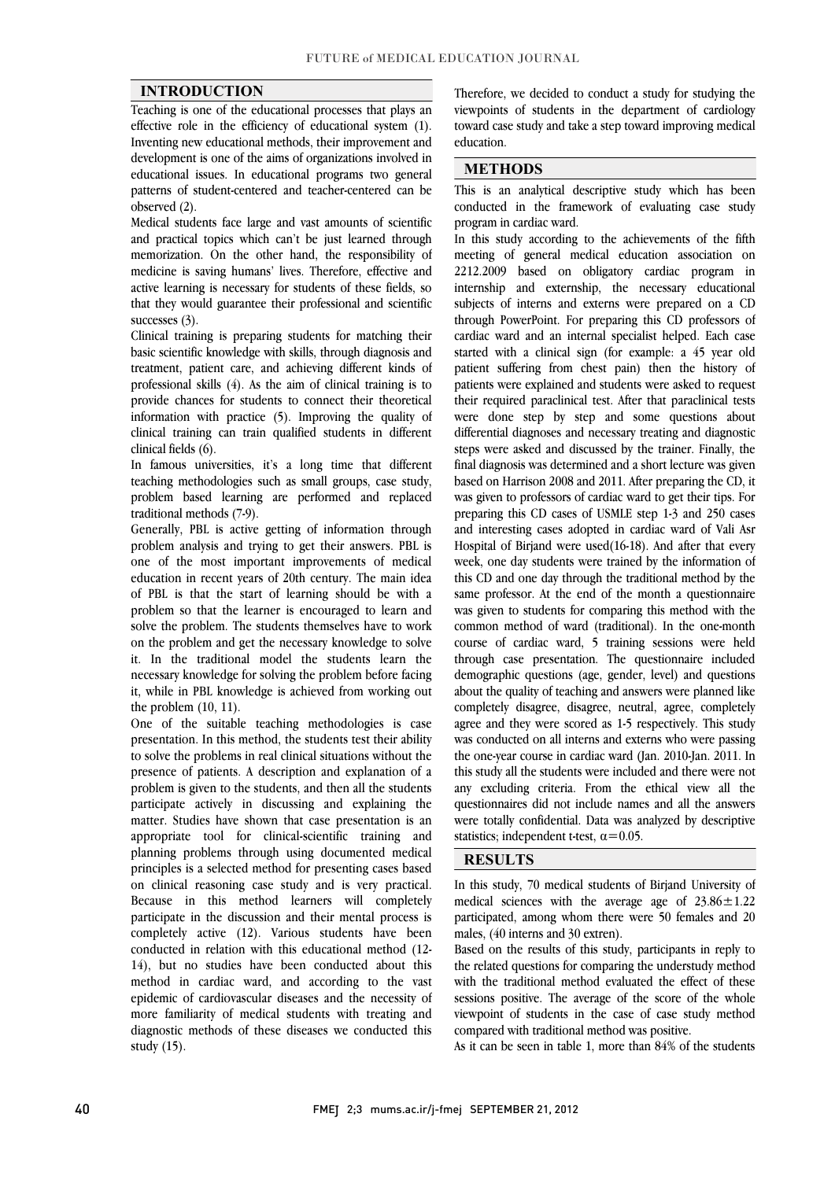### **INTRODUCTION**

 Teaching is one of the educational processes that plays an effective role in the efficiency of educational system (1). development is one of the aims of organizations involved in educational issues. In educational programs two general patterns of student-centered and teacher-centered can be Inventing new educational methods, their improvement and observed (2).

observed (2).<br>Medical students face large and vast amounts of scientific and practical topics which can't be just learned through memorization. On the other hand, the responsibility of medicine is saving humans' lives. Therefore, effective and active learning is necessary for students of these fields, so that they would guarantee their professional and scientific<br>successes  $(3)$ successes (3).

 Clinical training is preparing students for matching their basic scientific knowledge with skills, through diagnosis and treatment, patient care, and achieving different kinds of processional skins (1). The the aim of clinical training is to information with practice (5). Improving the quality of clinical training can train qualified students in different professional skills (4). As the aim of clinical training is to clinical fields (6).

cunical lielus (0).<br>In famous universities, it's a long time that different teaching methodologies such as small groups, case study, problem based learning are performed and replaced traditional methods (7-9).

 problem analysis and trying to get their answers. PBL is one of the most important improvements of medical education in recent years of 20th century. The main idea of PBL is that the start of learning should be with a solve the problem. The students themselves have to work on the problem and get the necessary knowledge to solve it. In the traditional model the students learn the necessary knowledge for solving the problem before facing it, while in PBL knowledge is achieved from working out<br>the problem (10–11) Generally, PBL is active getting of information through problem so that the learner is encouraged to learn and the problem (10, 11).

 One of the suitable teaching methodologies is case presentation. In this method, the students test their ability to solve the problems in real clinical situations without the problem is given to the students, and then all the students participate actively in discussing and explaining the matter. Studies have shown that case presentation is an appropriate tool for clinical-scientific training and principles is a selected method for presenting cases based on clinical reasoning case study and is very practical. Because in this method learners will completely participate in the discussion and their inemal process is<br>completely active (12). Various students have been conducted in relation with this educational method (12- 14), but no studies have been conducted about this method in cardiac ward, and according to the vast more familiarity of medical students with treating and diagnostic methods of these diseases we conducted this presence of patients. A description and explanation of a planning problems through using documented medical participate in the discussion and their mental process is epidemic of cardiovascular diseases and the necessity of study (15).

 viewpoints of students in the department of cardiology  $\overline{a}$ Therefore, we decided to conduct a study for studying the toward case study and take a step toward improving medical education.

## **METHODS**

 This is an analytical descriptive study which has been conducted in the framework of evaluating case study program in cardiac ward.

 $\overline{a}$ 

 In this study according to the achievements of the fifth meeting of general medical education association on 2212.2009 based on obligatory cardiac program in internship and externship, the necessary educational through PowerPoint. For preparing this CD professors of cardiac ward and an internal specialist helped. Each case started with a clinical sign (for example: a 45 year old patient suffering from chest pain) then the history of their required paraclinical test. After that paraclinical tests were done step by step and some questions about differential diagnoses and necessary treating and diagnostic steps were asked and discussed by the trainer. Finany, the<br>final diagnosis was determined and a short lecture was given based on Harrison 2008 and 2011. After preparing the CD, it was given to professors of cardiac ward to get their tips. For preparing this CD cases of USMLE step 1-3 and 250 cases Hospital of Birjand were used(16-18). And after that every week, one day students were trained by the information of this CD and one day through the traditional method by the same professor. At the end of the month a questionnaire was given to statems for comparing this method with the common method of ward (traditional). In the one-month course of cardiac ward, 5 training sessions were held through case presentation. The questionnaire included demographic questions (age, gender, level) and questions completely disagree, disagree, neutral, agree, completely agree and they were scored as 1-5 respectively. This study was conducted on all interns and externs who were passing the one-year course in cardiac ward (Jan. 2010-Jan. 2011. In any excluding criteria. From the ethical view all the questionnaires did not include names and all the answers were totally confidential. Data was analyzed by descriptive L subjects of interns and externs were prepared on a CD patients were explained and students were asked to request steps were asked and discussed by the trainer. Finally, the and interesting cases adopted in cardiac ward of Vali Asr was given to students for comparing this method with the about the quality of teaching and answers were planned like this study all the students were included and there were not statistics; independent t-test,  $\alpha$ =0.05.

## **RESULTS**

 In this study, 70 medical students of Birjand University of medical sciences with the average age of  $23.86 \pm 1.22$ participated, among whom there were 50 females and 20 males  $(40 \text{ intersec and } 30 \text{ extra})$ males, (40 interns and 30 extren).

 Based on the results of this study, participants in reply to the related questions for comparing the understudy method with the traditional method evaluated the effect of these viewpoint of students in the case of case study method sessions positive. The average of the score of the whole compared with traditional method was positive.

As it can be seen in table 1, more than 84% of the students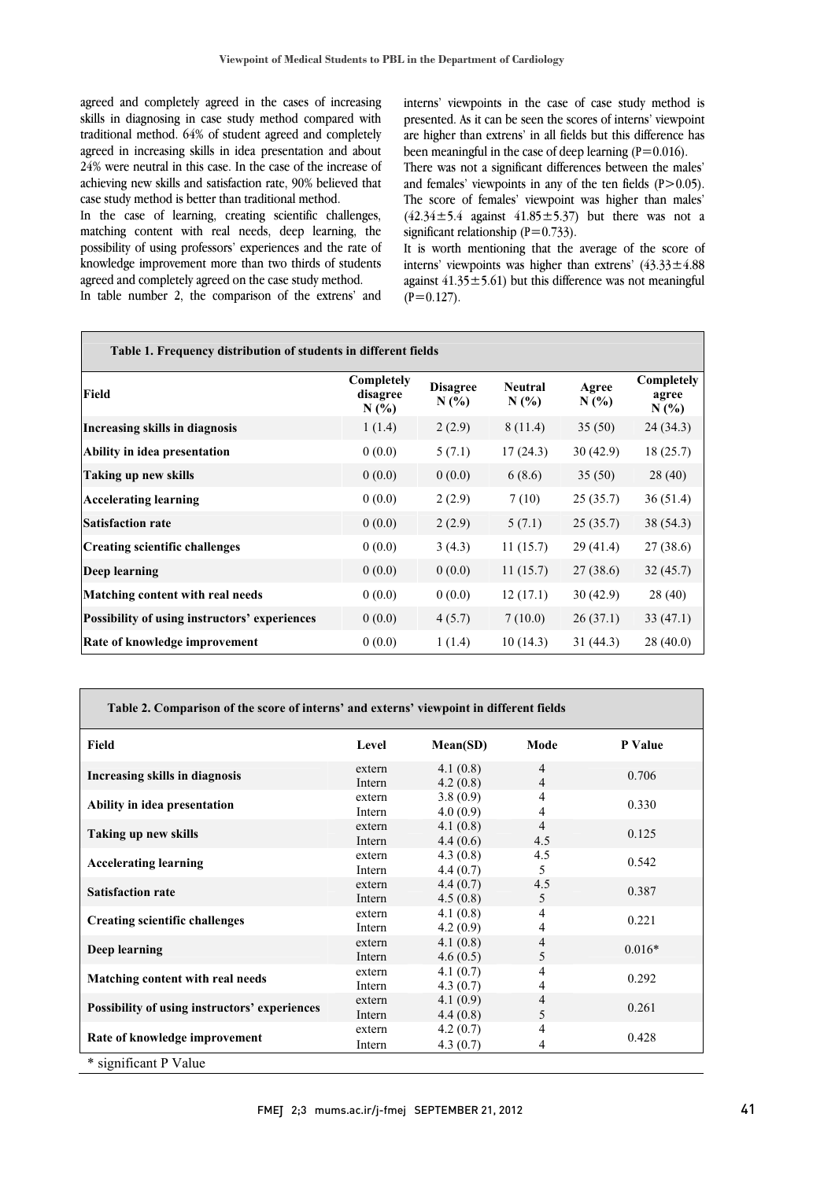agreed and compietely agreed in the cases of increasing<br>skills in diagnosing in case study method compared with traditional method. 64% of student agreed and completely agreed in increasing skills in idea presentation and about 24% were neutral in this case. In the case of the increase of achieving new skills and satisfaction rate, 90% believed that agreed and completely agreed in the cases of increasing case study method is better than traditional method.

 In the case of learning, creating scientific challenges, matching content with real needs, deep learning, the possibility of using professors' experiences and the rate of knowledge improvement more than two thirds of students<br>gareed and completely agreed on the case study method agreed and completely agreed on the case study method.

In table number 2, the comparison of the extrens' and

 interns' viewpoints in the case of case study method is are higher than extrens' in all fields but this difference has presented. As it can be seen the scores of interns' viewpoint been meaningful in the case of deep learning  $(P=0.016)$ .

 There was not a significant differences between the males'  $(42.34 \pm 5.4)$  against  $41.85 \pm 5.37$  but there was not a and females' viewpoints in any of the ten fields  $(P>0.05)$ . The score of females' viewpoint was higher than males' significant relationship  $(P=0.733)$ .

 It is worth mentioning that the average of the score of against  $41.35 \pm 5.61$ ) but this difference was not meaningful interns' viewpoints was higher than extrens'  $(43.33 \pm 4.88$  $(P=0.127)$ .

| Table 1. Frequency distribution of students in different fields |                               |                        |                           |              |                             |  |  |  |
|-----------------------------------------------------------------|-------------------------------|------------------------|---------------------------|--------------|-----------------------------|--|--|--|
| Field                                                           | Completely<br>disagree<br>N(% | <b>Disagree</b><br>N(% | <b>Neutral</b><br>$N(\%)$ | Agree<br>N(% | Completely<br>agree<br>N(%) |  |  |  |
| Increasing skills in diagnosis                                  | 1(1.4)                        | 2(2.9)                 | 8(11.4)                   | 35(50)       | 24(34.3)                    |  |  |  |
| Ability in idea presentation                                    | 0(0.0)                        | 5(7.1)                 | 17(24.3)                  | 30(42.9)     | 18(25.7)                    |  |  |  |
| Taking up new skills                                            | 0(0.0)                        | 0(0.0)                 | 6(8.6)                    | 35(50)       | 28(40)                      |  |  |  |
| <b>Accelerating learning</b>                                    | 0(0.0)                        | 2(2.9)                 | 7(10)                     | 25(35.7)     | 36(51.4)                    |  |  |  |
| <b>Satisfaction rate</b>                                        | 0(0.0)                        | 2(2.9)                 | 5(7.1)                    | 25(35.7)     | 38 (54.3)                   |  |  |  |
| Creating scientific challenges                                  | 0(0.0)                        | 3(4.3)                 | 11(15.7)                  | 29(41.4)     | 27(38.6)                    |  |  |  |
| Deep learning                                                   | 0(0.0)                        | 0(0.0)                 | 11(15.7)                  | 27(38.6)     | 32(45.7)                    |  |  |  |
| Matching content with real needs                                | 0(0.0)                        | 0(0.0)                 | 12(17.1)                  | 30(42.9)     | 28(40)                      |  |  |  |
| <b>Possibility of using instructors' experiences</b>            | 0(0.0)                        | 4(5.7)                 | 7(10.0)                   | 26(37.1)     | 33(47.1)                    |  |  |  |
| <b>Rate of knowledge improvement</b>                            | 0(0.0)                        | 1(1.4)                 | 10(14.3)                  | 31(44.3)     | 28(40.0)                    |  |  |  |

| Table 2. Comparison of the score of interns' and externs' viewpoint in different fields |                  |                      |                       |          |  |  |  |
|-----------------------------------------------------------------------------------------|------------------|----------------------|-----------------------|----------|--|--|--|
| Field                                                                                   | Level            | Mean(SD)             | Mode                  | P Value  |  |  |  |
| Increasing skills in diagnosis                                                          | extern<br>Intern | 4.1(0.8)<br>4.2(0.8) | 4<br>4                | 0.706    |  |  |  |
| Ability in idea presentation                                                            | extern<br>Intern | 3.8(0.9)<br>4.0(0.9) | 4<br>4                | 0.330    |  |  |  |
| Taking up new skills                                                                    | extern<br>Intern | 4.1(0.8)<br>4.4(0.6) | $\overline{4}$<br>4.5 | 0.125    |  |  |  |
| <b>Accelerating learning</b>                                                            | extern<br>Intern | 4.3(0.8)<br>4.4(0.7) | 4.5<br>5              | 0.542    |  |  |  |
| <b>Satisfaction rate</b>                                                                | extern<br>Intern | 4.4(0.7)<br>4.5(0.8) | 4.5<br>5              | 0.387    |  |  |  |
| <b>Creating scientific challenges</b>                                                   | extern<br>Intern | 4.1(0.8)<br>4.2(0.9) | 4<br>4                | 0.221    |  |  |  |
| Deep learning                                                                           | extern<br>Intern | 4.1(0.8)<br>4.6(0.5) | 4<br>5                | $0.016*$ |  |  |  |
| Matching content with real needs                                                        | extern<br>Intern | 4.1(0.7)<br>4.3(0.7) | 4<br>4                | 0.292    |  |  |  |
| Possibility of using instructors' experiences                                           | extern<br>Intern | 4.1(0.9)<br>4.4(0.8) | 4<br>5                | 0.261    |  |  |  |
| Rate of knowledge improvement                                                           | extern<br>Intern | 4.2(0.7)<br>4.3(0.7) | 4<br>4                | 0.428    |  |  |  |
| * significant P Value                                                                   |                  |                      |                       |          |  |  |  |

 $\overline{a}$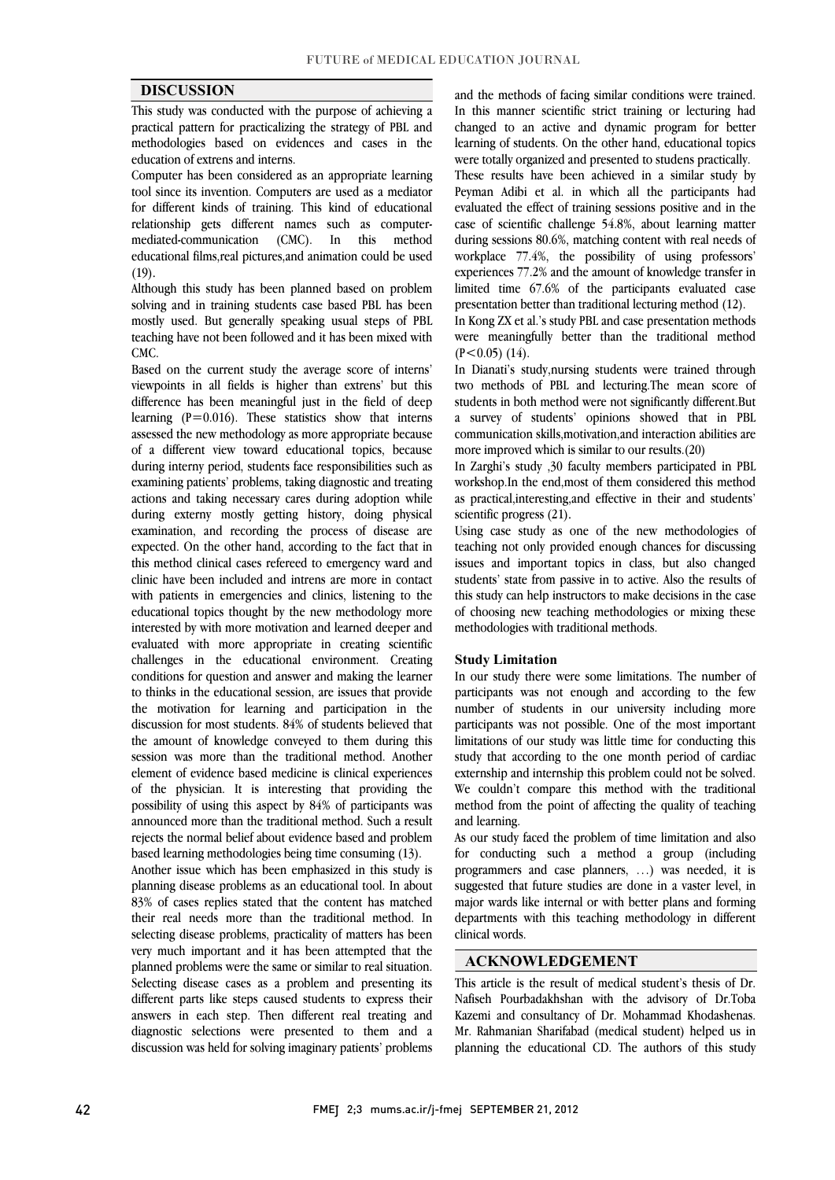#### **DISCUSSION**

 This study was conducted with the purpose of achieving a practical pattern for practicalizing the strategy of PBL and methodologies based on evidences and cases in the education of extrens and interns.

 Computer has been considered as an appropriate learning tool since its invention. Computers are used as a mediator for different kinds of training. This kind of educational mediated-communication (CMC). In this method educational films,real pictures,and animation could be used relationship gets different names such as computer-(19).

 Although this study has been planned based on problem mostly used. But generally speaking usual steps of PBL teaching have not been followed and it has been mixed with solving and in training students case based PBL has been CMC.

 Based on the current study the average score of interns' difference has been meaningful just in the field of deep learning  $(P=0.016)$ . These statistics show that interns assessed the new methodology as more appropriate because of a different view toward educational topics, because examining patients' period, statents lace responsibilities such as actions and taking necessary cares during adoption while during externy mostly getting history, doing physical examination, and recording the process of disease are this method clinical cases refereed to emergency ward and clinic have been included and intrens are more in contact with patients in emergencies and clinics, listening to the educational topics thought by the new methodology more evaluated with more appropriate in creating scientific challenges in the educational environment. Creating conditions for question and answer and making the learner to uniks in the educational session, are issues that provide<br>the motivation for learning and participation in the the amount of knowledge conveyed to them during this session was more than the traditional method. Another of the physician. It is interesting that providing the possibility of using this aspect by 84% of participants was announced more than the traditional method. Such a result rejects the normal belief about evidence based and problem<br>have all termine mathematical believe that a convention (42) viewpoints in all fields is higher than extrens' but this during interny period, students face responsibilities such as expected. On the other hand, according to the fact that in interested by with more motivation and learned deeper and to thinks in the educational session, are issues that provide discussion for most students. 84% of students believed that element of evidence based medicine is clinical experiences based learning methodologies being time consuming (13).

Another issue which has been emphasized in this study is planning disease problems as an educational tool. In about 83% of cases replies stated that the content has matched selecting disease problems, practicality of matters has been very much important and it has been attempted that the planned problems were the same or similar to real situation. Selecting disease cases as a problem and presenting its answers in each steps caused students to express their their real needs more than the traditional method. In different parts like steps caused students to express their diagnostic selections were presented to them and a discussion was held for solving imaginary patients' problems

 and the methods of facing similar conditions were trained. In this manner scientific strict training or lecturing had changed to an active and dynamic program for better learning of students. On the other hand, educational topics These results have been achieved in a similar study by Peyman Adibi et al. in which all the participants had evaluated the effect of training sessions positive and in the case of scientific changing 54.8%, about learning matter<br>during sessions 80.6%, matching content with real needs of workplace 77.4%, the possibility of using professors' experiences 77.2% and the amount of knowledge transfer in limited time 67.6% of the participants evaluated case were totally organized and presented to studens practically. case of scientific challenge 54.8%, about learning matter presentation better than traditional lecturing method (12).

 In Kong ZX et al.'s study PBL and case presentation methods were meaningfully better than the traditional method  $(P<0.05)$  (14).

 In Dianati's study,nursing students were trained through students in both method were not significantly different.But a survey of students' opinions showed that in PBL communication skills,motivation,and interaction abilities are two methods of PBL and lecturing.The mean score of more improved which is similar to our results.(20)

more improved which is similar to our results.(20)<br>In Zarghi's study ,30 faculty members participated in PBL m Eargin's study 1,00 factily included participated in 1 DE workshop. In the end, most of them considered this method as practical,interesting,and effective in their and students' scientific progress (21).

 Using case study as one of the new methodologies of issues and important topics in class, but also changed students' state from passive in to active. Also the results of this study can help instructors to make decisions in the case of choosing new teaching methodologies or mixing these teaching not only provided enough chances for discussing methodologies with traditional methods.

#### **Study Limitation**

 In our study there were some limitations. The number of participants was not enough and according to the few<br>number of students in our university including more participants was not possible. One of the most important limitations of our study was little time for conducting this study that according to the one month period of cardiac We couldn't compare this method with the traditional method from the point of affecting the quality of teaching participants was not enough and according to the few externship and internship this problem could not be solved. and learning.

 As our study faced the problem of time limitation and also programmers and case planners, …) was needed, it is suggested that future studies are done in a vaster level, in major wards like internal or with better plans and forming departments with this teaching methodology in different  $\overline{a}$ for conducting such a method a group (including clinical words.

### **ACKNOWLEDGEMENT**

 This article is the result of medical student's thesis of Dr. Kazemi and consultancy of Dr. Mohammad Khodashenas. Mr. Rahmanian Sharifabad (medical student) helped us in planning the educational CD. The authors of this study Nafiseh Pourbadakhshan with the advisory of Dr.Toba

 $\overline{a}$